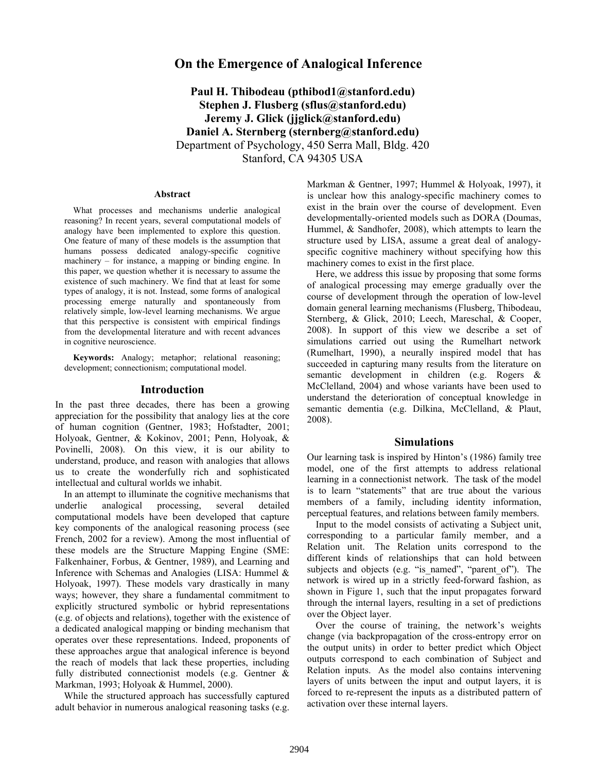# **On the Emergence of Analogical Inference**

**Paul H. Thibodeau (pthibod1@stanford.edu) Stephen J. Flusberg (sflus@stanford.edu) Jeremy J. Glick (jjglick@stanford.edu) Daniel A. Sternberg (sternberg@stanford.edu)** Department of Psychology, 450 Serra Mall, Bldg. 420 Stanford, CA 94305 USA

#### **Abstract**

What processes and mechanisms underlie analogical reasoning? In recent years, several computational models of analogy have been implemented to explore this question. One feature of many of these models is the assumption that humans possess dedicated analogy-specific cognitive machinery – for instance, a mapping or binding engine. In this paper, we question whether it is necessary to assume the existence of such machinery. We find that at least for some types of analogy, it is not. Instead, some forms of analogical processing emerge naturally and spontaneously from relatively simple, low-level learning mechanisms. We argue that this perspective is consistent with empirical findings from the developmental literature and with recent advances in cognitive neuroscience.

**Keywords:** Analogy; metaphor; relational reasoning; development; connectionism; computational model.

## **Introduction**

In the past three decades, there has been a growing appreciation for the possibility that analogy lies at the core of human cognition (Gentner, 1983; Hofstadter, 2001; Holyoak, Gentner, & Kokinov, 2001; Penn, Holyoak, & Povinelli, 2008). On this view, it is our ability to understand, produce, and reason with analogies that allows us to create the wonderfully rich and sophisticated intellectual and cultural worlds we inhabit.

In an attempt to illuminate the cognitive mechanisms that underlie analogical processing, several detailed computational models have been developed that capture key components of the analogical reasoning process (see French, 2002 for a review). Among the most influential of these models are the Structure Mapping Engine (SME: Falkenhainer, Forbus, & Gentner, 1989), and Learning and Inference with Schemas and Analogies (LISA: Hummel & Holyoak, 1997). These models vary drastically in many ways; however, they share a fundamental commitment to explicitly structured symbolic or hybrid representations (e.g. of objects and relations), together with the existence of a dedicated analogical mapping or binding mechanism that operates over these representations. Indeed, proponents of these approaches argue that analogical inference is beyond the reach of models that lack these properties, including fully distributed connectionist models (e.g. Gentner & Markman, 1993; Holyoak & Hummel, 2000).

While the structured approach has successfully captured adult behavior in numerous analogical reasoning tasks (e.g. Markman & Gentner, 1997; Hummel & Holyoak, 1997), it is unclear how this analogy-specific machinery comes to exist in the brain over the course of development. Even developmentally-oriented models such as DORA (Doumas, Hummel, & Sandhofer, 2008), which attempts to learn the structure used by LISA, assume a great deal of analogyspecific cognitive machinery without specifying how this machinery comes to exist in the first place.

Here, we address this issue by proposing that some forms of analogical processing may emerge gradually over the course of development through the operation of low-level domain general learning mechanisms (Flusberg, Thibodeau, Sternberg, & Glick, 2010; Leech, Mareschal, & Cooper, 2008). In support of this view we describe a set of simulations carried out using the Rumelhart network (Rumelhart, 1990), a neurally inspired model that has succeeded in capturing many results from the literature on semantic development in children (e.g. Rogers & McClelland, 2004) and whose variants have been used to understand the deterioration of conceptual knowledge in semantic dementia (e.g. Dilkina, McClelland, & Plaut, 2008).

## **Simulations**

Our learning task is inspired by Hinton's (1986) family tree model, one of the first attempts to address relational learning in a connectionist network. The task of the model is to learn "statements" that are true about the various members of a family, including identity information, perceptual features, and relations between family members.

Input to the model consists of activating a Subject unit, corresponding to a particular family member, and a Relation unit. The Relation units correspond to the different kinds of relationships that can hold between subjects and objects (e.g. "is named", "parent of"). The network is wired up in a strictly feed-forward fashion, as shown in Figure 1, such that the input propagates forward through the internal layers, resulting in a set of predictions over the Object layer.

Over the course of training, the network's weights change (via backpropagation of the cross-entropy error on the output units) in order to better predict which Object outputs correspond to each combination of Subject and Relation inputs. As the model also contains intervening layers of units between the input and output layers, it is forced to re-represent the inputs as a distributed pattern of activation over these internal layers.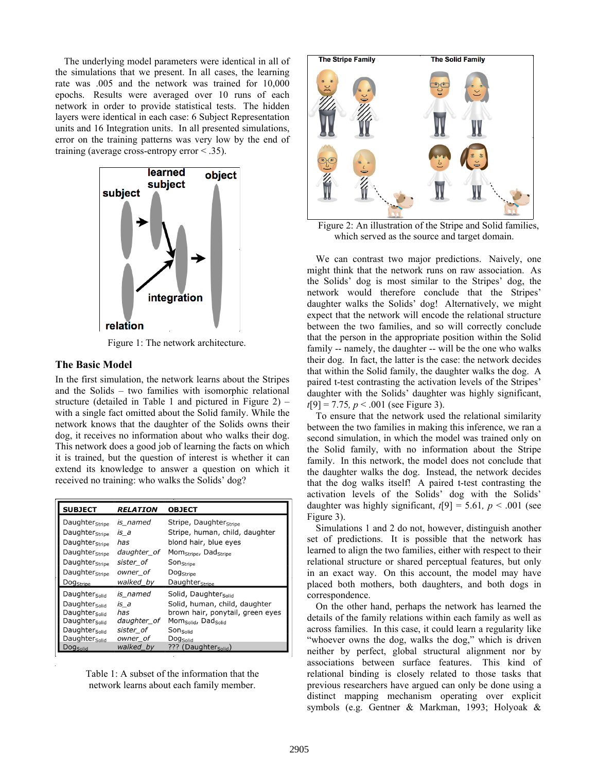The underlying model parameters were identical in all of the simulations that we present. In all cases, the learning rate was .005 and the network was trained for 10,000 epochs. Results were averaged over 10 runs of each network in order to provide statistical tests. The hidden layers were identical in each case: 6 Subject Representation units and 16 Integration units. In all presented simulations, error on the training patterns was very low by the end of training (average cross-entropy error < .35).



Figure 1: The network architecture.

## **The Basic Model**

In the first simulation, the network learns about the Stripes and the Solids – two families with isomorphic relational structure (detailed in Table 1 and pictured in Figure 2) – with a single fact omitted about the Solid family. While the network knows that the daughter of the Solids owns their dog, it receives no information about who walks their dog. This network does a good job of learning the facts on which it is trained, but the question of interest is whether it can extend its knowledge to answer a question on which it received no training: who walks the Solids' dog?

| <b>SUBJECT</b>             | RELATION    | <b>OBJECT</b>                                 |
|----------------------------|-------------|-----------------------------------------------|
| Daughter <sub>Stripe</sub> | is named    | Stripe, Daughter <sub>Stripe</sub>            |
| Daughter <sub>Stripe</sub> | is_a        | Stripe, human, child, daughter                |
| Daughter <sub>Stripe</sub> | has         | blond hair, blue eyes                         |
| Daughter <sub>Stripe</sub> | daughter of | Mom <sub>Stripe</sub> , Dad <sub>Stripe</sub> |
| Daughter <sub>Stripe</sub> | sister of   | Son <sub>Stripe</sub>                         |
| Daughter <sub>Stripe</sub> | owner of    | Dog <sub>Stripe</sub>                         |
| Dog <sub>Stripe</sub>      | walked by   | Daughter <sub>Stripe</sub>                    |
| Daughter <sub>Solid</sub>  | is named    | Solid, Daughter <sub>Solid</sub>              |
| Daughter <sub>Solid</sub>  | is a        | Solid, human, child, daughter                 |
| Daughter <sub>Solid</sub>  | has         | brown hair, ponytail, green eyes              |
| Daughter <sub>Solid</sub>  | daughter of | Mom <sub>Solid</sub> , Dad <sub>Solid</sub>   |
| Daughter <sub>Solid</sub>  | sister of   | Sonsolid                                      |
| Daughter <sub>Solid</sub>  | owner of    | Dog <sub>Solid</sub>                          |
| Dog <sub>Solid</sub>       | walked by   | ??? (Daughter <sub>Solid</sub> )              |

Table 1: A subset of the information that the network learns about each family member.



Figure 2: An illustration of the Stripe and Solid families, which served as the source and target domain.

We can contrast two major predictions. Naively, one might think that the network runs on raw association. As the Solids' dog is most similar to the Stripes' dog, the network would therefore conclude that the Stripes' daughter walks the Solids' dog! Alternatively, we might expect that the network will encode the relational structure between the two families, and so will correctly conclude that the person in the appropriate position within the Solid family -- namely, the daughter -- will be the one who walks their dog. In fact, the latter is the case: the network decides that within the Solid family, the daughter walks the dog. A paired t-test contrasting the activation levels of the Stripes' daughter with the Solids' daughter was highly significant, *t*[9] = 7.75*, p* < .001 (see Figure 3).

To ensure that the network used the relational similarity between the two families in making this inference, we ran a second simulation, in which the model was trained only on the Solid family, with no information about the Stripe family. In this network, the model does not conclude that the daughter walks the dog. Instead, the network decides that the dog walks itself! A paired t-test contrasting the activation levels of the Solids' dog with the Solids' daughter was highly significant,  $t[9] = 5.61$ ,  $p < .001$  (see Figure 3).

Simulations 1 and 2 do not, however, distinguish another set of predictions. It is possible that the network has learned to align the two families, either with respect to their relational structure or shared perceptual features, but only in an exact way. On this account, the model may have placed both mothers, both daughters, and both dogs in correspondence.

On the other hand, perhaps the network has learned the details of the family relations within each family as well as across families. In this case, it could learn a regularity like "whoever owns the dog, walks the dog," which is driven neither by perfect, global structural alignment nor by associations between surface features. This kind of relational binding is closely related to those tasks that previous researchers have argued can only be done using a distinct mapping mechanism operating over explicit symbols (e.g. Gentner & Markman, 1993; Holyoak &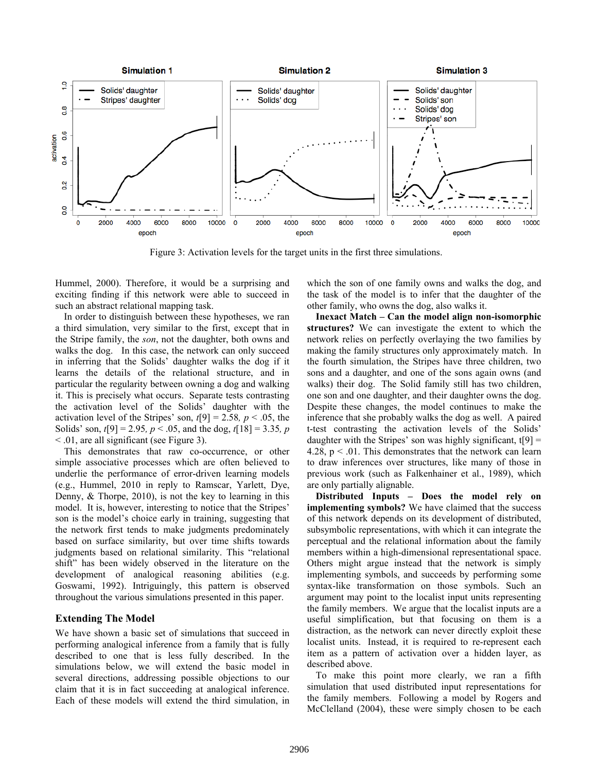

Figure 3: Activation levels for the target units in the first three simulations.

Hummel, 2000). Therefore, it would be a surprising and exciting finding if this network were able to succeed in such an abstract relational mapping task.

In order to distinguish between these hypotheses, we ran a third simulation, very similar to the first, except that in the Stripe family, the *son*, not the daughter, both owns and walks the dog. In this case, the network can only succeed in inferring that the Solids' daughter walks the dog if it learns the details of the relational structure, and in particular the regularity between owning a dog and walking it. This is precisely what occurs. Separate tests contrasting the activation level of the Solids' daughter with the activation level of the Stripes' son,  $t[9] = 2.58$ ,  $p < .05$ , the Solids' son, *t*[9] = 2.95*, p* < .05, and the dog, *t*[18] = 3.35*, p*  < .01, are all significant (see Figure 3).

This demonstrates that raw co-occurrence, or other simple associative processes which are often believed to underlie the performance of error-driven learning models (e.g., Hummel, 2010 in reply to Ramscar, Yarlett, Dye, Denny, & Thorpe, 2010), is not the key to learning in this model. It is, however, interesting to notice that the Stripes' son is the model's choice early in training, suggesting that the network first tends to make judgments predominately based on surface similarity, but over time shifts towards judgments based on relational similarity. This "relational shift" has been widely observed in the literature on the development of analogical reasoning abilities (e.g. Goswami, 1992). Intriguingly, this pattern is observed throughout the various simulations presented in this paper.

# **Extending The Model**

We have shown a basic set of simulations that succeed in performing analogical inference from a family that is fully described to one that is less fully described. In the simulations below, we will extend the basic model in several directions, addressing possible objections to our claim that it is in fact succeeding at analogical inference. Each of these models will extend the third simulation, in

which the son of one family owns and walks the dog, and the task of the model is to infer that the daughter of the other family, who owns the dog, also walks it.

**Inexact Match – Can the model align non-isomorphic structures?** We can investigate the extent to which the network relies on perfectly overlaying the two families by making the family structures only approximately match. In the fourth simulation, the Stripes have three children, two sons and a daughter, and one of the sons again owns (and walks) their dog. The Solid family still has two children, one son and one daughter, and their daughter owns the dog. Despite these changes, the model continues to make the inference that she probably walks the dog as well. A paired t-test contrasting the activation levels of the Solids' daughter with the Stripes' son was highly significant,  $t[9] =$ 4.28,  $p < 0.01$ . This demonstrates that the network can learn to draw inferences over structures, like many of those in previous work (such as Falkenhainer et al., 1989), which are only partially alignable.

**Distributed Inputs – Does the model rely on implementing symbols?** We have claimed that the success of this network depends on its development of distributed, subsymbolic representations, with which it can integrate the perceptual and the relational information about the family members within a high-dimensional representational space. Others might argue instead that the network is simply implementing symbols, and succeeds by performing some syntax-like transformation on those symbols. Such an argument may point to the localist input units representing the family members. We argue that the localist inputs are a useful simplification, but that focusing on them is a distraction, as the network can never directly exploit these localist units. Instead, it is required to re-represent each item as a pattern of activation over a hidden layer, as described above.

To make this point more clearly, we ran a fifth simulation that used distributed input representations for the family members. Following a model by Rogers and McClelland (2004), these were simply chosen to be each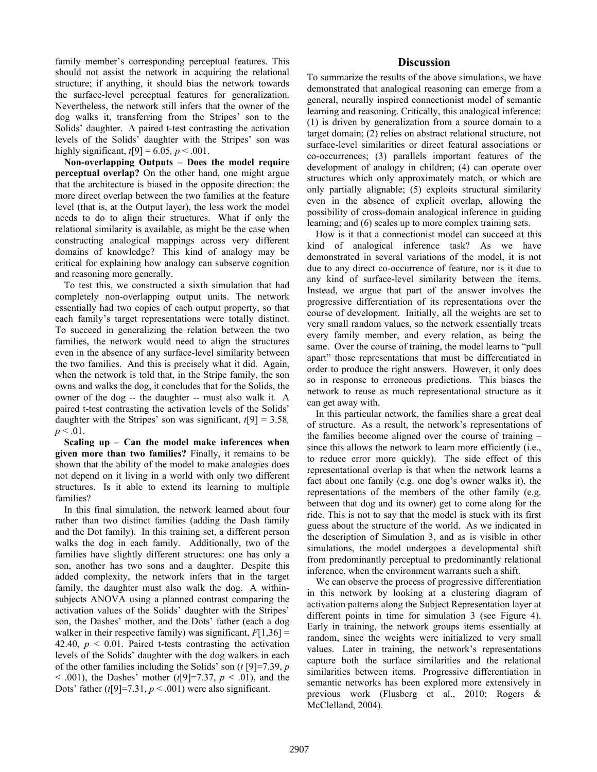family member's corresponding perceptual features. This should not assist the network in acquiring the relational structure; if anything, it should bias the network towards the surface-level perceptual features for generalization. Nevertheless, the network still infers that the owner of the dog walks it, transferring from the Stripes' son to the Solids' daughter. A paired t-test contrasting the activation levels of the Solids' daughter with the Stripes' son was highly significant,  $t[9] = 6.05$ ,  $p < .001$ .

**Non-overlapping Outputs – Does the model require perceptual overlap?** On the other hand, one might argue that the architecture is biased in the opposite direction: the more direct overlap between the two families at the feature level (that is, at the Output layer), the less work the model needs to do to align their structures. What if only the relational similarity is available, as might be the case when constructing analogical mappings across very different domains of knowledge? This kind of analogy may be critical for explaining how analogy can subserve cognition and reasoning more generally.

To test this, we constructed a sixth simulation that had completely non-overlapping output units. The network essentially had two copies of each output property, so that each family's target representations were totally distinct. To succeed in generalizing the relation between the two families, the network would need to align the structures even in the absence of any surface-level similarity between the two families. And this is precisely what it did. Again, when the network is told that, in the Stripe family, the son owns and walks the dog, it concludes that for the Solids, the owner of the dog -- the daughter -- must also walk it. A paired t-test contrasting the activation levels of the Solids' daughter with the Stripes' son was significant, *t*[9] = 3.58*,*   $p < .01$ .

**Scaling up – Can the model make inferences when given more than two families?** Finally, it remains to be shown that the ability of the model to make analogies does not depend on it living in a world with only two different structures. Is it able to extend its learning to multiple families?

In this final simulation, the network learned about four rather than two distinct families (adding the Dash family and the Dot family). In this training set, a different person walks the dog in each family. Additionally, two of the families have slightly different structures: one has only a son, another has two sons and a daughter. Despite this added complexity, the network infers that in the target family, the daughter must also walk the dog. A withinsubjects ANOVA using a planned contrast comparing the activation values of the Solids' daughter with the Stripes' son, the Dashes' mother, and the Dots' father (each a dog walker in their respective family) was significant,  $F[1,36] =$ 42.40,  $p \le 0.01$ . Paired t-tests contrasting the activation levels of the Solids' daughter with the dog walkers in each of the other families including the Solids' son (*t* [9]=7.39, *p*  $<$  0.01), the Dashes' mother (*t*[9]=7.37, *p*  $<$  0.01), and the Dots' father  $(t[9]=7.31, p<.001)$  were also significant.

# **Discussion**

To summarize the results of the above simulations, we have demonstrated that analogical reasoning can emerge from a general, neurally inspired connectionist model of semantic learning and reasoning. Critically, this analogical inference: (1) is driven by generalization from a source domain to a target domain; (2) relies on abstract relational structure, not surface-level similarities or direct featural associations or co-occurrences; (3) parallels important features of the development of analogy in children; (4) can operate over structures which only approximately match, or which are only partially alignable; (5) exploits structural similarity even in the absence of explicit overlap, allowing the possibility of cross-domain analogical inference in guiding learning; and (6) scales up to more complex training sets.

How is it that a connectionist model can succeed at this kind of analogical inference task? As we have demonstrated in several variations of the model, it is not due to any direct co-occurrence of feature, nor is it due to any kind of surface-level similarity between the items. Instead, we argue that part of the answer involves the progressive differentiation of its representations over the course of development. Initially, all the weights are set to very small random values, so the network essentially treats every family member, and every relation, as being the same. Over the course of training, the model learns to "pull apart" those representations that must be differentiated in order to produce the right answers. However, it only does so in response to erroneous predictions. This biases the network to reuse as much representational structure as it can get away with.

In this particular network, the families share a great deal of structure. As a result, the network's representations of the families become aligned over the course of training – since this allows the network to learn more efficiently (i.e., to reduce error more quickly). The side effect of this representational overlap is that when the network learns a fact about one family (e.g. one dog's owner walks it), the representations of the members of the other family (e.g. between that dog and its owner) get to come along for the ride. This is not to say that the model is stuck with its first guess about the structure of the world. As we indicated in the description of Simulation 3, and as is visible in other simulations, the model undergoes a developmental shift from predominantly perceptual to predominantly relational inference, when the environment warrants such a shift.

We can observe the process of progressive differentiation in this network by looking at a clustering diagram of activation patterns along the Subject Representation layer at different points in time for simulation 3 (see Figure 4). Early in training, the network groups items essentially at random, since the weights were initialized to very small values. Later in training, the network's representations capture both the surface similarities and the relational similarities between items. Progressive differentiation in semantic networks has been explored more extensively in previous work (Flusberg et al., 2010; Rogers & McClelland, 2004).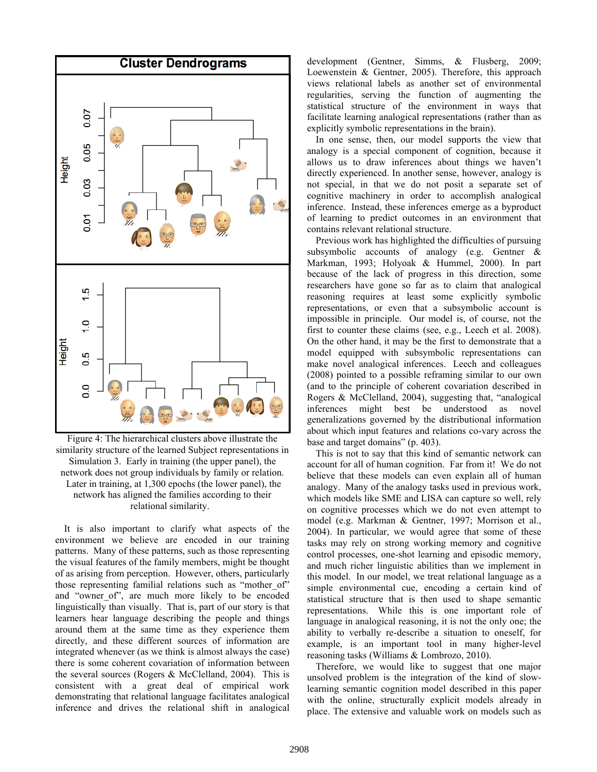

Figure 4: The hierarchical clusters above illustrate the similarity structure of the learned Subject representations in Simulation 3. Early in training (the upper panel), the network does not group individuals by family or relation. Later in training, at 1,300 epochs (the lower panel), the network has aligned the families according to their relational similarity.

It is also important to clarify what aspects of the environment we believe are encoded in our training patterns. Many of these patterns, such as those representing the visual features of the family members, might be thought of as arising from perception. However, others, particularly those representing familial relations such as "mother of" and "owner of", are much more likely to be encoded linguistically than visually. That is, part of our story is that learners hear language describing the people and things around them at the same time as they experience them directly, and these different sources of information are integrated whenever (as we think is almost always the case) there is some coherent covariation of information between the several sources (Rogers & McClelland, 2004). This is consistent with a great deal of empirical work demonstrating that relational language facilitates analogical inference and drives the relational shift in analogical

development (Gentner, Simms, & Flusberg, 2009; Loewenstein & Gentner, 2005). Therefore, this approach views relational labels as another set of environmental regularities, serving the function of augmenting the statistical structure of the environment in ways that facilitate learning analogical representations (rather than as explicitly symbolic representations in the brain).

In one sense, then, our model supports the view that analogy is a special component of cognition, because it allows us to draw inferences about things we haven't directly experienced. In another sense, however, analogy is not special, in that we do not posit a separate set of cognitive machinery in order to accomplish analogical inference. Instead, these inferences emerge as a byproduct of learning to predict outcomes in an environment that contains relevant relational structure.

Previous work has highlighted the difficulties of pursuing subsymbolic accounts of analogy (e.g. Gentner & Markman, 1993; Holyoak & Hummel, 2000). In part because of the lack of progress in this direction, some researchers have gone so far as to claim that analogical reasoning requires at least some explicitly symbolic representations, or even that a subsymbolic account is impossible in principle. Our model is, of course, not the first to counter these claims (see, e.g., Leech et al. 2008). On the other hand, it may be the first to demonstrate that a model equipped with subsymbolic representations can make novel analogical inferences. Leech and colleagues (2008) pointed to a possible reframing similar to our own (and to the principle of coherent covariation described in Rogers & McClelland, 2004), suggesting that, "analogical inferences might best be understood as novel generalizations governed by the distributional information about which input features and relations co-vary across the base and target domains" (p. 403).

This is not to say that this kind of semantic network can account for all of human cognition. Far from it! We do not believe that these models can even explain all of human analogy. Many of the analogy tasks used in previous work, which models like SME and LISA can capture so well, rely on cognitive processes which we do not even attempt to model (e.g. Markman & Gentner, 1997; Morrison et al., 2004). In particular, we would agree that some of these tasks may rely on strong working memory and cognitive control processes, one-shot learning and episodic memory, and much richer linguistic abilities than we implement in this model. In our model, we treat relational language as a simple environmental cue, encoding a certain kind of statistical structure that is then used to shape semantic representations. While this is one important role of language in analogical reasoning, it is not the only one; the ability to verbally re-describe a situation to oneself, for example, is an important tool in many higher-level reasoning tasks (Williams & Lombrozo, 2010).

Therefore, we would like to suggest that one major unsolved problem is the integration of the kind of slowlearning semantic cognition model described in this paper with the online, structurally explicit models already in place. The extensive and valuable work on models such as